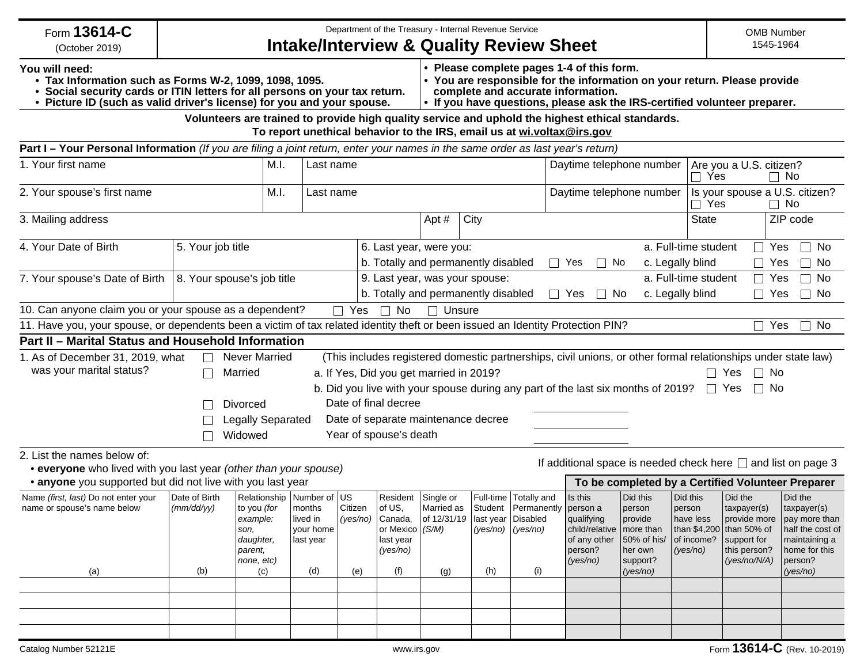| Form 13614-C<br>(October 2019)                                                                                                                                                                                                    |                                    |                                                                                                                  |                                                     |                                       |                                                                                      |                                                                      | Department of the Treasury - Internal Revenue Service<br><b>Intake/Interview &amp; Quality Review Sheet</b> |                                                                    |                                                                                                                                                                                                                                          |                                                                                 |                                                           | <b>OMB Number</b><br>1545-1964                                                                                    |                                                                                                                      |
|-----------------------------------------------------------------------------------------------------------------------------------------------------------------------------------------------------------------------------------|------------------------------------|------------------------------------------------------------------------------------------------------------------|-----------------------------------------------------|---------------------------------------|--------------------------------------------------------------------------------------|----------------------------------------------------------------------|-------------------------------------------------------------------------------------------------------------|--------------------------------------------------------------------|------------------------------------------------------------------------------------------------------------------------------------------------------------------------------------------------------------------------------------------|---------------------------------------------------------------------------------|-----------------------------------------------------------|-------------------------------------------------------------------------------------------------------------------|----------------------------------------------------------------------------------------------------------------------|
| You will need:<br>• Tax Information such as Forms W-2, 1099, 1098, 1095.<br>• Social security cards or ITIN letters for all persons on your tax return.<br>• Picture ID (such as valid driver's license) for you and your spouse. |                                    |                                                                                                                  |                                                     |                                       |                                                                                      |                                                                      |                                                                                                             |                                                                    | • Please complete pages 1-4 of this form.<br>• You are responsible for the information on your return. Please provide<br>complete and accurate information.<br>. If you have questions, please ask the IRS-certified volunteer preparer. |                                                                                 |                                                           |                                                                                                                   |                                                                                                                      |
|                                                                                                                                                                                                                                   |                                    |                                                                                                                  |                                                     |                                       |                                                                                      |                                                                      |                                                                                                             |                                                                    | Volunteers are trained to provide high quality service and uphold the highest ethical standards.<br>To report unethical behavior to the IRS, email us at wi.voltax@irs.gov                                                               |                                                                                 |                                                           |                                                                                                                   |                                                                                                                      |
| Part I - Your Personal Information (If you are filing a joint return, enter your names in the same order as last year's return)                                                                                                   |                                    |                                                                                                                  |                                                     |                                       |                                                                                      |                                                                      |                                                                                                             |                                                                    |                                                                                                                                                                                                                                          |                                                                                 |                                                           |                                                                                                                   |                                                                                                                      |
| 1. Your first name                                                                                                                                                                                                                |                                    |                                                                                                                  |                                                     | Daytime telephone number<br>Last name |                                                                                      |                                                                      |                                                                                                             |                                                                    | Are you a U.S. citizen?<br>Yes<br>$\Box$<br>$\Box$ No                                                                                                                                                                                    |                                                                                 |                                                           |                                                                                                                   |                                                                                                                      |
| 2. Your spouse's first name                                                                                                                                                                                                       |                                    |                                                                                                                  |                                                     | Daytime telephone number<br>Last name |                                                                                      |                                                                      |                                                                                                             |                                                                    | $\Box$                                                                                                                                                                                                                                   | Is your spouse a U.S. citizen?<br>Yes<br>$\Box$ No                              |                                                           |                                                                                                                   |                                                                                                                      |
| 3. Mailing address                                                                                                                                                                                                                |                                    |                                                                                                                  |                                                     |                                       |                                                                                      | Apt#                                                                 | City                                                                                                        |                                                                    |                                                                                                                                                                                                                                          |                                                                                 | <b>State</b>                                              |                                                                                                                   | ZIP code                                                                                                             |
| 4. Your Date of Birth<br>5. Your job title                                                                                                                                                                                        |                                    |                                                                                                                  |                                                     |                                       |                                                                                      | 6. Last year, were you:                                              |                                                                                                             |                                                                    | a. Full-time student                                                                                                                                                                                                                     | $\Box$                                                                          | $\Box$<br>Yes<br>No                                       |                                                                                                                   |                                                                                                                      |
|                                                                                                                                                                                                                                   |                                    |                                                                                                                  |                                                     |                                       |                                                                                      | b. Totally and permanently disabled                                  |                                                                                                             |                                                                    | $\Box$ Yes<br>c. Legally blind<br>No<br>$\perp$                                                                                                                                                                                          |                                                                                 |                                                           | No<br>Yes<br>$\Box$                                                                                               |                                                                                                                      |
| 7. Your spouse's Date of Birth                                                                                                                                                                                                    | 8. Your spouse's job title         |                                                                                                                  |                                                     |                                       |                                                                                      | 9. Last year, was your spouse:                                       |                                                                                                             |                                                                    |                                                                                                                                                                                                                                          |                                                                                 | a. Full-time student                                      | $\Box$ Yes                                                                                                        | $\Box$ No                                                                                                            |
|                                                                                                                                                                                                                                   |                                    |                                                                                                                  |                                                     |                                       |                                                                                      | b. Totally and permanently disabled                                  |                                                                                                             |                                                                    | $\Box$ Yes<br>$\perp$                                                                                                                                                                                                                    | No                                                                              | c. Legally blind                                          | $\Box$ Yes                                                                                                        | $\Box$ No                                                                                                            |
| 10. Can anyone claim you or your spouse as a dependent?                                                                                                                                                                           |                                    |                                                                                                                  |                                                     | $\Box$ Yes                            | $\Box$ No                                                                            | $\Box$ Unsure                                                        |                                                                                                             |                                                                    |                                                                                                                                                                                                                                          |                                                                                 |                                                           |                                                                                                                   |                                                                                                                      |
| 11. Have you, your spouse, or dependents been a victim of tax related identity theft or been issued an Identity Protection PIN?                                                                                                   |                                    |                                                                                                                  |                                                     |                                       |                                                                                      |                                                                      |                                                                                                             |                                                                    |                                                                                                                                                                                                                                          |                                                                                 |                                                           |                                                                                                                   | Yes<br>$\Box$ No                                                                                                     |
| Part II - Marital Status and Household Information                                                                                                                                                                                |                                    | <b>Never Married</b>                                                                                             |                                                     |                                       |                                                                                      |                                                                      |                                                                                                             |                                                                    | (This includes registered domestic partnerships, civil unions, or other formal relationships under state law)                                                                                                                            |                                                                                 |                                                           |                                                                                                                   |                                                                                                                      |
| 1. As of December 31, 2019, what<br>was your marital status?                                                                                                                                                                      | $\Box$                             | Married                                                                                                          |                                                     |                                       |                                                                                      | a. If Yes, Did you get married in 2019?                              |                                                                                                             |                                                                    |                                                                                                                                                                                                                                          |                                                                                 |                                                           | $\Box$ No<br>Yes                                                                                                  |                                                                                                                      |
|                                                                                                                                                                                                                                   |                                    |                                                                                                                  |                                                     |                                       |                                                                                      |                                                                      |                                                                                                             |                                                                    | b. Did you live with your spouse during any part of the last six months of 2019?                                                                                                                                                         |                                                                                 |                                                           | $\Box$ No<br>$\Box$ Yes                                                                                           |                                                                                                                      |
|                                                                                                                                                                                                                                   |                                    | <b>Divorced</b>                                                                                                  |                                                     |                                       | Date of final decree                                                                 |                                                                      |                                                                                                             |                                                                    |                                                                                                                                                                                                                                          |                                                                                 |                                                           |                                                                                                                   |                                                                                                                      |
|                                                                                                                                                                                                                                   |                                    | Legally Separated                                                                                                |                                                     |                                       |                                                                                      | Date of separate maintenance decree                                  |                                                                                                             |                                                                    |                                                                                                                                                                                                                                          |                                                                                 |                                                           |                                                                                                                   |                                                                                                                      |
|                                                                                                                                                                                                                                   |                                    | Widowed                                                                                                          |                                                     |                                       | Year of spouse's death                                                               |                                                                      |                                                                                                             |                                                                    |                                                                                                                                                                                                                                          |                                                                                 |                                                           |                                                                                                                   |                                                                                                                      |
| 2. List the names below of:<br>• everyone who lived with you last year (other than your spouse)                                                                                                                                   |                                    |                                                                                                                  |                                                     |                                       |                                                                                      |                                                                      |                                                                                                             |                                                                    |                                                                                                                                                                                                                                          |                                                                                 |                                                           |                                                                                                                   | If additional space is needed check here $\Box$ and list on page 3                                                   |
| • anyone you supported but did not live with you last year                                                                                                                                                                        |                                    |                                                                                                                  |                                                     |                                       |                                                                                      |                                                                      |                                                                                                             |                                                                    |                                                                                                                                                                                                                                          |                                                                                 |                                                           |                                                                                                                   | To be completed by a Certified Volunteer Preparer                                                                    |
| Name (first, last) Do not enter your<br>name or spouse's name below<br>(a)                                                                                                                                                        | Date of Birth<br>(mm/dd/yy)<br>(b) | Relationship Number of US<br>to you <i>(for</i><br>example:<br>son,<br>daughter,<br>parent,<br>none, etc)<br>(c) | months<br>lived in<br>your home<br>last year<br>(d) | Citizen<br>(yes/no)<br>(e)            | Resident<br>of US,<br>Canada,<br>or Mexico $ (S/M) $<br>last year<br>(yes/no)<br>(f) | Single or<br>Married as<br>of 12/31/19   last year   Disabled<br>(g) | $(yes/no)$ $(yes/no)$<br>(h)                                                                                | Full-time   Totally and<br>Student   Permanently   person a<br>(i) | Is this<br>qualifying<br>child/relative   more than<br>of any other<br>person?<br>(yes/no)                                                                                                                                               | Did this<br>person<br>provide<br>50% of his/<br>her own<br>support?<br>(yes/no) | Did this<br>person<br>have less<br>of income?<br>(yes/no) | Did the<br>taxpayer(s)<br>provide more<br>than \$4,200 than 50% of<br>support for<br>this person?<br>(yes/no/N/A) | Did the<br>taxpayer(s)<br>pay more than<br>half the cost of<br>maintaining a<br>home for this<br>person?<br>(yes/no) |
|                                                                                                                                                                                                                                   |                                    |                                                                                                                  |                                                     |                                       |                                                                                      |                                                                      |                                                                                                             |                                                                    |                                                                                                                                                                                                                                          |                                                                                 |                                                           |                                                                                                                   |                                                                                                                      |
|                                                                                                                                                                                                                                   |                                    |                                                                                                                  |                                                     |                                       |                                                                                      |                                                                      |                                                                                                             |                                                                    |                                                                                                                                                                                                                                          |                                                                                 |                                                           |                                                                                                                   |                                                                                                                      |
|                                                                                                                                                                                                                                   |                                    |                                                                                                                  |                                                     |                                       |                                                                                      |                                                                      |                                                                                                             |                                                                    |                                                                                                                                                                                                                                          |                                                                                 |                                                           |                                                                                                                   |                                                                                                                      |
|                                                                                                                                                                                                                                   |                                    |                                                                                                                  |                                                     |                                       |                                                                                      |                                                                      |                                                                                                             |                                                                    |                                                                                                                                                                                                                                          |                                                                                 |                                                           |                                                                                                                   |                                                                                                                      |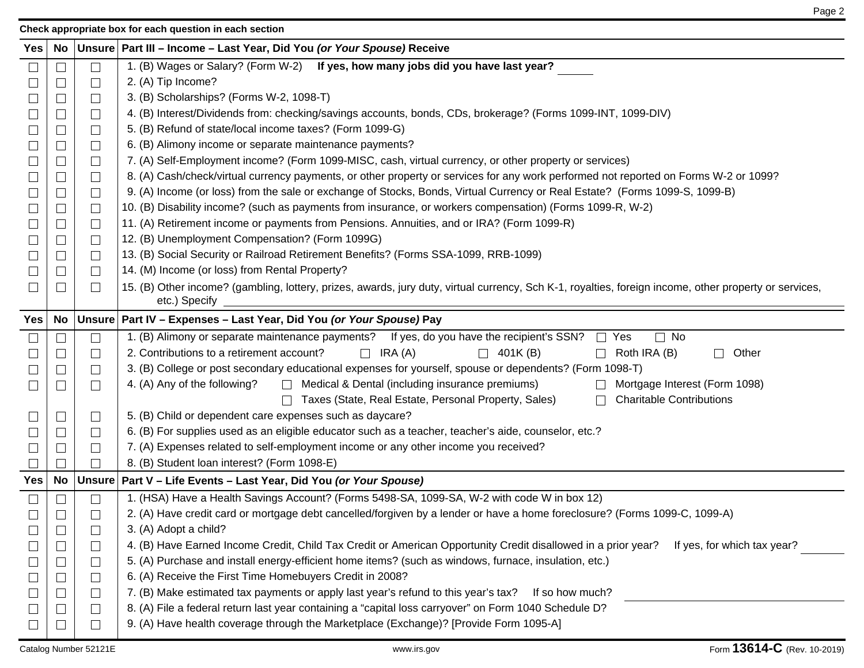**Check appropriate box for each question in each section**

|--|

| <b>Yes</b> | No                       |                             | Unsure   Part III – Income – Last Year, Did You (or Your Spouse) Receive                                                                               |  |  |  |  |  |  |  |  |  |
|------------|--------------------------|-----------------------------|--------------------------------------------------------------------------------------------------------------------------------------------------------|--|--|--|--|--|--|--|--|--|
|            |                          | $\Box$                      | 1. (B) Wages or Salary? (Form W-2) If yes, how many jobs did you have last year?                                                                       |  |  |  |  |  |  |  |  |  |
|            |                          | $\Box$                      | 2. (A) Tip Income?                                                                                                                                     |  |  |  |  |  |  |  |  |  |
|            |                          | $\Box$                      | 3. (B) Scholarships? (Forms W-2, 1098-T)                                                                                                               |  |  |  |  |  |  |  |  |  |
|            |                          | $\Box$                      | 4. (B) Interest/Dividends from: checking/savings accounts, bonds, CDs, brokerage? (Forms 1099-INT, 1099-DIV)                                           |  |  |  |  |  |  |  |  |  |
|            | $\overline{\phantom{a}}$ | $\Box$                      | 5. (B) Refund of state/local income taxes? (Form 1099-G)                                                                                               |  |  |  |  |  |  |  |  |  |
|            |                          | $\Box$                      | 6. (B) Alimony income or separate maintenance payments?                                                                                                |  |  |  |  |  |  |  |  |  |
|            |                          | $\Box$                      | 7. (A) Self-Employment income? (Form 1099-MISC, cash, virtual currency, or other property or services)                                                 |  |  |  |  |  |  |  |  |  |
|            |                          | $\Box$                      | 8. (A) Cash/check/virtual currency payments, or other property or services for any work performed not reported on Forms W-2 or 1099?                   |  |  |  |  |  |  |  |  |  |
|            |                          | ⊔                           | 9. (A) Income (or loss) from the sale or exchange of Stocks, Bonds, Virtual Currency or Real Estate? (Forms 1099-S, 1099-B)                            |  |  |  |  |  |  |  |  |  |
| $\Box$     | $\Box$                   | $\Box$                      | 10. (B) Disability income? (such as payments from insurance, or workers compensation) (Forms 1099-R, W-2)                                              |  |  |  |  |  |  |  |  |  |
|            |                          | $\Box$                      | 11. (A) Retirement income or payments from Pensions. Annuities, and or IRA? (Form 1099-R)                                                              |  |  |  |  |  |  |  |  |  |
|            |                          | $\Box$                      | 12. (B) Unemployment Compensation? (Form 1099G)                                                                                                        |  |  |  |  |  |  |  |  |  |
|            |                          | $\Box$                      | 13. (B) Social Security or Railroad Retirement Benefits? (Forms SSA-1099, RRB-1099)                                                                    |  |  |  |  |  |  |  |  |  |
| $\Box$     | $\Box$                   | $\Box$                      | 14. (M) Income (or loss) from Rental Property?                                                                                                         |  |  |  |  |  |  |  |  |  |
| $\Box$     |                          | $\perp$                     | 15. (B) Other income? (gambling, lottery, prizes, awards, jury duty, virtual currency, Sch K-1, royalties, foreign income, other property or services, |  |  |  |  |  |  |  |  |  |
|            |                          |                             | etc.) Specify                                                                                                                                          |  |  |  |  |  |  |  |  |  |
| <b>Yes</b> | No                       |                             | Unsure   Part IV - Expenses - Last Year, Did You (or Your Spouse) Pay                                                                                  |  |  |  |  |  |  |  |  |  |
|            |                          | $\Box$                      | 1. (B) Alimony or separate maintenance payments? If yes, do you have the recipient's SSN?<br>$\Box$ Yes<br>$\Box$ No                                   |  |  |  |  |  |  |  |  |  |
|            |                          | $\Box$                      | 2. Contributions to a retirement account?<br>$\Box$ IRA (A)<br>$\Box$ 401K(B)<br>Roth IRA (B)<br>Other<br>$\Box$<br>$\mathsf{L}$                       |  |  |  |  |  |  |  |  |  |
|            |                          | ⊔                           | 3. (B) College or post secondary educational expenses for yourself, spouse or dependents? (Form 1098-T)                                                |  |  |  |  |  |  |  |  |  |
| $\Box$     | $\mathcal{L}$            | $\Box$                      | $\Box$ Medical & Dental (including insurance premiums)<br>4. (A) Any of the following?<br>Mortgage Interest (Form 1098)                                |  |  |  |  |  |  |  |  |  |
|            |                          |                             | <b>Charitable Contributions</b><br>Taxes (State, Real Estate, Personal Property, Sales)                                                                |  |  |  |  |  |  |  |  |  |
|            |                          | $\Box$                      | 5. (B) Child or dependent care expenses such as daycare?                                                                                               |  |  |  |  |  |  |  |  |  |
|            |                          | $\Box$                      | 6. (B) For supplies used as an eligible educator such as a teacher, teacher's aide, counselor, etc.?                                                   |  |  |  |  |  |  |  |  |  |
|            |                          | $\Box$                      | 7. (A) Expenses related to self-employment income or any other income you received?                                                                    |  |  |  |  |  |  |  |  |  |
|            |                          | $\mathbf{I}$                | 8. (B) Student Ioan interest? (Form 1098-E)                                                                                                            |  |  |  |  |  |  |  |  |  |
| <b>Yes</b> | No                       |                             | Unsure   Part V - Life Events - Last Year, Did You (or Your Spouse)                                                                                    |  |  |  |  |  |  |  |  |  |
| $\Box$     |                          | $\Box$                      | 1. (HSA) Have a Health Savings Account? (Forms 5498-SA, 1099-SA, W-2 with code W in box 12)                                                            |  |  |  |  |  |  |  |  |  |
|            |                          |                             | 2. (A) Have credit card or mortgage debt cancelled/forgiven by a lender or have a home foreclosure? (Forms 1099-C, 1099-A)                             |  |  |  |  |  |  |  |  |  |
|            |                          | $\Box$                      | 3. (A) Adopt a child?                                                                                                                                  |  |  |  |  |  |  |  |  |  |
|            |                          | $\mathcal{L}_{\mathcal{A}}$ | 4. (B) Have Earned Income Credit, Child Tax Credit or American Opportunity Credit disallowed in a prior year?<br>If yes, for which tax year?           |  |  |  |  |  |  |  |  |  |
|            |                          | $\Box$                      | 5. (A) Purchase and install energy-efficient home items? (such as windows, furnace, insulation, etc.)                                                  |  |  |  |  |  |  |  |  |  |
|            |                          | $\Box$                      | 6. (A) Receive the First Time Homebuyers Credit in 2008?                                                                                               |  |  |  |  |  |  |  |  |  |
|            |                          | $\Box$                      | 7. (B) Make estimated tax payments or apply last year's refund to this year's tax?<br>If so how much?                                                  |  |  |  |  |  |  |  |  |  |
|            |                          | $\sqcup$                    | 8. (A) File a federal return last year containing a "capital loss carryover" on Form 1040 Schedule D?                                                  |  |  |  |  |  |  |  |  |  |
|            |                          | $\perp$                     | 9. (A) Have health coverage through the Marketplace (Exchange)? [Provide Form 1095-A]                                                                  |  |  |  |  |  |  |  |  |  |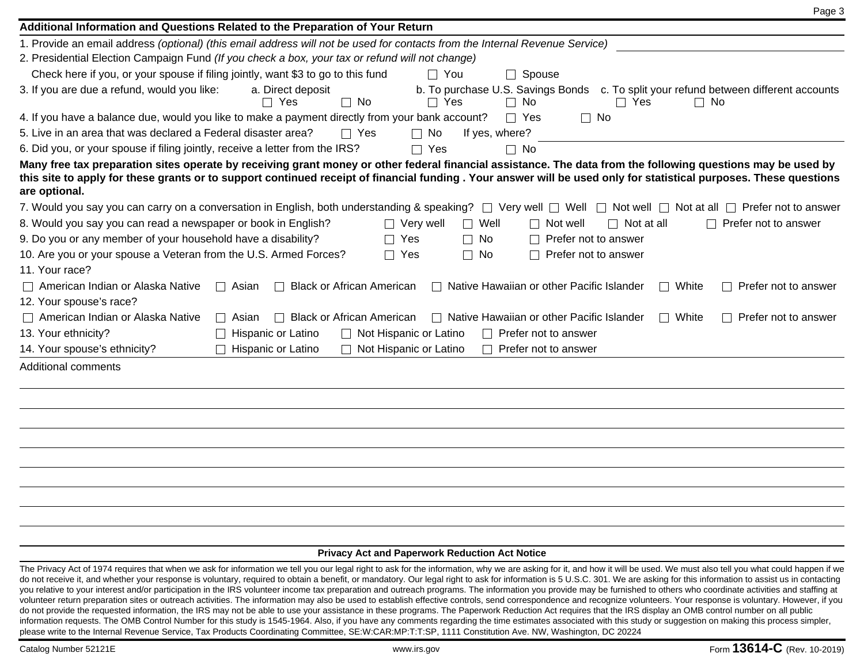| Page 3                                                                                                                                                                                                                                                                                                                                             |
|----------------------------------------------------------------------------------------------------------------------------------------------------------------------------------------------------------------------------------------------------------------------------------------------------------------------------------------------------|
| Additional Information and Questions Related to the Preparation of Your Return                                                                                                                                                                                                                                                                     |
| 1. Provide an email address (optional) (this email address will not be used for contacts from the Internal Revenue Service)                                                                                                                                                                                                                        |
| 2. Presidential Election Campaign Fund (If you check a box, your tax or refund will not change)                                                                                                                                                                                                                                                    |
| Check here if you, or your spouse if filing jointly, want \$3 to go to this fund<br>$\Box$ You<br>$\Box$ Spouse                                                                                                                                                                                                                                    |
| 3. If you are due a refund, would you like:<br>a. Direct deposit<br>b. To purchase U.S. Savings Bonds c. To split your refund between different accounts<br>$\Box$ Yes<br>$\Box$ No<br>$\Box$ Yes<br>$\Box$ No<br>$\Box$ Yes<br>$\Box$ No                                                                                                          |
| 4. If you have a balance due, would you like to make a payment directly from your bank account?<br>$\Box$ Yes<br>$\Box$ No                                                                                                                                                                                                                         |
| 5. Live in an area that was declared a Federal disaster area?<br>$\Box$ No<br>If yes, where?<br>$\Box$ Yes                                                                                                                                                                                                                                         |
| 6. Did you, or your spouse if filing jointly, receive a letter from the IRS?<br>$\Box$ Yes<br>$\Box$ No                                                                                                                                                                                                                                            |
| Many free tax preparation sites operate by receiving grant money or other federal financial assistance. The data from the following questions may be used by<br>this site to apply for these grants or to support continued receipt of financial funding. Your answer will be used only for statistical purposes. These questions<br>are optional. |
| 7. Would you say you can carry on a conversation in English, both understanding & speaking? $\Box$ Very well $\Box$ Well $\Box$ Not well $\Box$ Not at all $\Box$ Prefer not to answer                                                                                                                                                             |
| 8. Would you say you can read a newspaper or book in English?<br>$\Box$ Well<br>$\Box$ Very well<br>$\Box$ Not at all<br>Prefer not to answer<br>$\Box$ Not well<br>$\Box$                                                                                                                                                                         |
| 9. Do you or any member of your household have a disability?<br>$\Box$ Yes<br>$\Box$ No<br>$\Box$ Prefer not to answer                                                                                                                                                                                                                             |
| 10. Are you or your spouse a Veteran from the U.S. Armed Forces?<br>$\Box$ Yes<br>$\Box$ No<br>Prefer not to answer<br>11. Your race?                                                                                                                                                                                                              |
| American Indian or Alaska Native<br><b>Black or African American</b><br>□ Native Hawaiian or other Pacific Islander<br>$\Box$ White<br>$\Box$ Asian<br>$\Box$ Prefer not to answer                                                                                                                                                                 |
| 12. Your spouse's race?                                                                                                                                                                                                                                                                                                                            |
| $\Box$ American Indian or Alaska Native<br>$\Box$ Native Hawaiian or other Pacific Islander<br>□ Black or African American<br>$\Box$ White<br>$\Box$ Prefer not to answer<br>$\Box$ Asian                                                                                                                                                          |
| 13. Your ethnicity?<br>$\Box$ Hispanic or Latino<br>Not Hispanic or Latino<br>$\Box$ Prefer not to answer<br>$\Box$                                                                                                                                                                                                                                |
| 14. Your spouse's ethnicity?<br>$\Box$ Hispanic or Latino<br>Not Hispanic or Latino<br>$\Box$ Prefer not to answer                                                                                                                                                                                                                                 |
| Additional comments                                                                                                                                                                                                                                                                                                                                |
|                                                                                                                                                                                                                                                                                                                                                    |
|                                                                                                                                                                                                                                                                                                                                                    |
|                                                                                                                                                                                                                                                                                                                                                    |
|                                                                                                                                                                                                                                                                                                                                                    |
|                                                                                                                                                                                                                                                                                                                                                    |
| <b>Privacy Act and Paperwork Reduction Act Notice</b>                                                                                                                                                                                                                                                                                              |
| The Privacy Act of 1974 requires that when we ask for information we tell you our legal right to ask for the information, why we are asking for it, and how it will be used. We must also tell you what could happen if we                                                                                                                         |

do not receive it, and whether your response is voluntary, required to obtain a benefit, or mandatory. Our legal right to ask for information is 5 U.S.C. 301. We are asking for this information to assist us in contacting you relative to your interest and/or participation in the IRS volunteer income tax preparation and outreach programs. The information you provide may be furnished to others who coordinate activities and staffing at volunteer return preparation sites or outreach activities. The information may also be used to establish effective controls, send correspondence and recognize volunteers. Your response is voluntary. However, if you do not provide the requested information, the IRS may not be able to use your assistance in these programs. The Paperwork Reduction Act requires that the IRS display an OMB control number on all public information requests. The OMB Control Number for this study is 1545-1964. Also, if you have any comments regarding the time estimates associated with this study or suggestion on making this process simpler, please write to the Internal Revenue Service, Tax Products Coordinating Committee, SE:W:CAR:MP:T:T:SP, 1111 Constitution Ave. NW, Washington, DC 20224